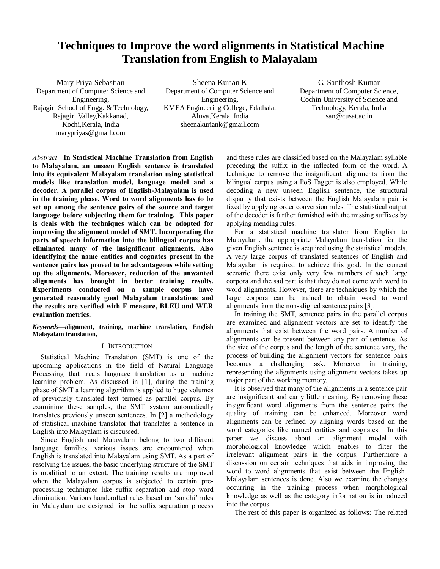# **Techniques to Improve the word alignments in Statistical Machine Translation from English to Malayalam**

Mary Priya Sebastian Department of Computer Science and Engineering, Rajagiri School of Engg. & Technology, Rajagiri Valley,Kakkanad, Kochi,Kerala, India marypriyas@gmail.com

Sheena Kurian K Department of Computer Science and Engineering, KMEA Engineering College, Edathala, Aluva,Kerala, India sheenakuriank@gmail.com

G. Santhosh Kumar Department of Computer Science, Cochin University of Science and Technology, Kerala, India san@cusat.ac.in

*Abstract—***In Statistical Machine Translation from English to Malayalam, an unseen English sentence is translated into its equivalent Malayalam translation using statistical models like translation model, language model and a decoder. A parallel corpus of English-Malayalam is used in the training phase. Word to word alignments has to be set up among the sentence pairs of the source and target language before subjecting them for training. This paper is deals with the techniques which can be adopted for improving the alignment model of SMT. Incorporating the parts of speech information into the bilingual corpus has eliminated many of the insignificant alignments. Also identifying the name entities and cognates present in the sentence pairs has proved to be advantageous while setting up the alignments. Moreover, reduction of the unwanted alignments has brought in better training results. Experiments conducted on a sample corpus have generated reasonably good Malayalam translations and the results are verified with F measure, BLEU and WER evaluation metrics.**

*Keywords—***alignment, training, machine translation, English Malayalam translation,**

# I INTRODUCTION

Statistical Machine Translation (SMT) is one of the upcoming applications in the field of Natural Language Processing that treats language translation as a machine learning problem. As discussed in [1], during the training phase of SMT a learning algorithm is applied to huge volumes of previously translated text termed as parallel corpus. By examining these samples, the SMT system automatically translates previously unseen sentences. In [2] a methodology of statistical machine translator that translates a sentence in English into Malayalam is discussed.

Since English and Malayalam belong to two different language families, various issues are encountered when English is translated into Malayalam using SMT. As a part of resolving the issues, the basic underlying structure of the SMT is modified to an extent. The training results are improved when the Malayalam corpus is subjected to certain preprocessing techniques like suffix separation and stop word elimination. Various handcrafted rules based on "sandhi" rules in Malayalam are designed for the suffix separation process and these rules are classified based on the Malayalam syllable preceding the suffix in the inflected form of the word. A technique to remove the insignificant alignments from the bilingual corpus using a PoS Tagger is also employed. While decoding a new unseen English sentence, the structural disparity that exists between the English Malayalam pair is fixed by applying order conversion rules. The statistical output of the decoder is further furnished with the missing suffixes by applying mending rules.

For a statistical machine translator from English to Malayalam, the appropriate Malayalam translation for the given English sentence is acquired using the statistical models. A very large corpus of translated sentences of English and Malayalam is required to achieve this goal. In the current scenario there exist only very few numbers of such large corpora and the sad part is that they do not come with word to word alignments. However, there are techniques by which the large corpora can be trained to obtain word to word alignments from the non-aligned sentence pairs [3].

In training the SMT, sentence pairs in the parallel corpus are examined and alignment vectors are set to identify the alignments that exist between the word pairs. A number of alignments can be present between any pair of sentence. As the size of the corpus and the length of the sentence vary, the process of building the alignment vectors for sentence pairs becomes a challenging task. Moreover in training, representing the alignments using alignment vectors takes up major part of the working memory.

It is observed that many of the alignments in a sentence pair are insignificant and carry little meaning. By removing these insignificant word alignments from the sentence pairs the quality of training can be enhanced. Moreover word alignments can be refined by aligning words based on the word categories like named entities and cognates. In this paper we discuss about an alignment model with morphological knowledge which enables to filter the irrelevant alignment pairs in the corpus. Furthermore a discussion on certain techniques that aids in improving the word to word alignments that exist between the English-Malayalam sentences is done. Also we examine the changes occurring in the training process when morphological knowledge as well as the category information is introduced into the corpus.

The rest of this paper is organized as follows: The related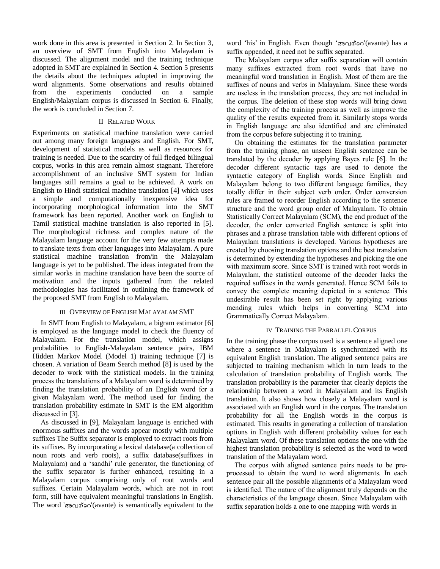work done in this area is presented in Section 2. In Section 3, an overview of SMT from English into Malayalam is discussed. The alignment model and the training technique adopted in SMT are explained in Section 4. Section 5 presents the details about the techniques adopted in improving the word alignments. Some observations and results obtained from the experiments conducted on a sample English/Malayalam corpus is discussed in Section 6. Finally, the work is concluded in Section 7.

#### II RELATED WORK

Experiments on statistical machine translation were carried out among many foreign languages and English. For SMT, development of statistical models as well as resources for training is needed. Due to the scarcity of full fledged bilingual corpus, works in this area remain almost stagnant. Therefore accomplishment of an inclusive SMT system for Indian languages still remains a goal to be achieved. A work on English to Hindi statistical machine translation [4] which uses a simple and computationally inexpensive idea for incorporating morphological information into the SMT framework has been reported. Another work on English to Tamil statistical machine translation is also reported in [5]. The morphological richness and complex nature of the Malayalam language account for the very few attempts made to translate texts from other languages into Malayalam. A pure statistical machine translation from/in the Malayalam language is yet to be published. The ideas integrated from the similar works in machine translation have been the source of motivation and the inputs gathered from the related methodologies has facilitated in outlining the framework of the proposed SMT from English to Malayalam.

# III OVERVIEW OF ENGLISH MALAYALAM SMT

In SMT from English to Malayalam, a bigram estimator [6] is employed as the language model to check the fluency of Malayalam. For the translation model, which assigns probabilities to English-Malayalam sentence pairs, IBM Hidden Markov Model (Model 1) training technique [7] is chosen. A variation of Beam Search method [8] is used by the decoder to work with the statistical models. In the training process the translations of a Malayalam word is determined by finding the translation probability of an English word for a given Malayalam word. The method used for finding the translation probability estimate in SMT is the EM algorithm discussed in [3].

As discussed in [9], Malayalam language is enriched with enormous suffixes and the words appear mostly with multiple suffixes The Suffix separator is employed to extract roots from its suffixes. By incorporating a lexical database(a collection of noun roots and verb roots), a suffix database(suffixes in Malayalam) and a 'sandhi' rule generator, the functioning of the suffix separator is further enhanced, resulting in a Malayalam corpus comprising only of root words and suffixes. Certain Malayalam words, which are not in root form, still have equivalent meaningful translations in English. The word 'അവന്റെ'(avante) is semantically equivalent to the

word 'his' in English. Even though ' അവന്റെ'(avante) has a suffix appended, it need not be suffix separated.

The Malayalam corpus after suffix separation will contain many suffixes extracted from root words that have no meaningful word translation in English. Most of them are the suffixes of nouns and verbs in Malayalam. Since these words are useless in the translation process, they are not included in the corpus. The deletion of these stop words will bring down the complexity of the training process as well as improve the quality of the results expected from it. Similarly stops words in English language are also identified and are eliminated from the corpus before subjecting it to training.

On obtaining the estimates for the translation parameter from the training phase, an unseen English sentence can be translated by the decoder by applying Bayes rule [6]. In the decoder different syntactic tags are used to denote the syntactic category of English words. Since English and Malayalam belong to two different language families, they totally differ in their subject verb order. Order conversion rules are framed to reorder English according to the sentence structure and the word group order of Malayalam. To obtain Statistically Correct Malayalam (SCM), the end product of the decoder, the order converted English sentence is split into phrases and a phrase translation table with different options of Malayalam translations is developed. Various hypotheses are created by choosing translation options and the best translation is determined by extending the hypotheses and picking the one with maximum score. Since SMT is trained with root words in Malayalam, the statistical outcome of the decoder lacks the required suffixes in the words generated. Hence SCM fails to convey the complete meaning depicted in a sentence. This undesirable result has been set right by applying various mending rules which helps in converting SCM into Grammatically Correct Malayalam.

# IV TRAINING THE PARRALLEL CORPUS

In the training phase the corpus used is a sentence aligned one where a sentence in Malayalam is synchronized with its equivalent English translation. The aligned sentence pairs are subjected to training mechanism which in turn leads to the calculation of translation probability of English words. The translation probability is the parameter that clearly depicts the relationship between a word in Malayalam and its English translation. It also shows how closely a Malayalam word is associated with an English word in the corpus. The translation probability for all the English words in the corpus is estimated. This results in generating a collection of translation options in English with different probability values for each Malayalam word. Of these translation options the one with the highest translation probability is selected as the word to word translation of the Malayalam word.

The corpus with aligned sentence pairs needs to be preprocessed to obtain the word to word alignments. In each sentence pair all the possible alignments of a Malayalam word is identified. The nature of the alignment truly depends on the characteristics of the language chosen. Since Malayalam with suffix separation holds a one to one mapping with words in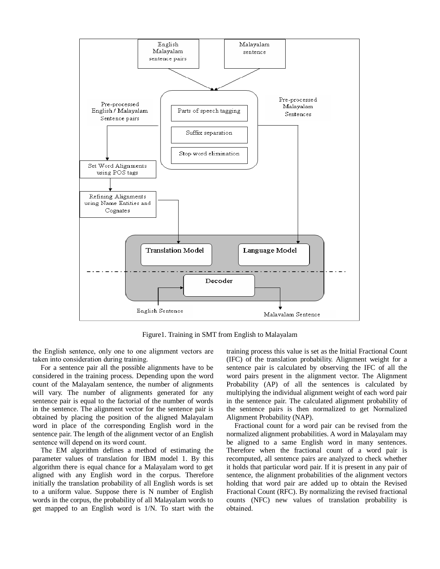

Figure1. Training in SMT from English to Malayalam

the English sentence, only one to one alignment vectors are taken into consideration during training.

For a sentence pair all the possible alignments have to be considered in the training process. Depending upon the word count of the Malayalam sentence, the number of alignments will vary. The number of alignments generated for any sentence pair is equal to the factorial of the number of words in the sentence. The alignment vector for the sentence pair is obtained by placing the position of the aligned Malayalam word in place of the corresponding English word in the sentence pair. The length of the alignment vector of an English sentence will depend on its word count.

The EM algorithm defines a method of estimating the parameter values of translation for IBM model 1. By this algorithm there is equal chance for a Malayalam word to get aligned with any English word in the corpus. Therefore initially the translation probability of all English words is set to a uniform value. Suppose there is N number of English words in the corpus, the probability of all Malayalam words to get mapped to an English word is 1/N. To start with the

training process this value is set as the Initial Fractional Count (IFC) of the translation probability. Alignment weight for a sentence pair is calculated by observing the IFC of all the word pairs present in the alignment vector. The Alignment Probability (AP) of all the sentences is calculated by multiplying the individual alignment weight of each word pair in the sentence pair. The calculated alignment probability of the sentence pairs is then normalized to get Normalized Alignment Probability (NAP).

Fractional count for a word pair can be revised from the normalized alignment probabilities. A word in Malayalam may be aligned to a same English word in many sentences. Therefore when the fractional count of a word pair is recomputed, all sentence pairs are analyzed to check whether it holds that particular word pair. If it is present in any pair of sentence, the alignment probabilities of the alignment vectors holding that word pair are added up to obtain the Revised Fractional Count (RFC). By normalizing the revised fractional counts (NFC) new values of translation probability is obtained.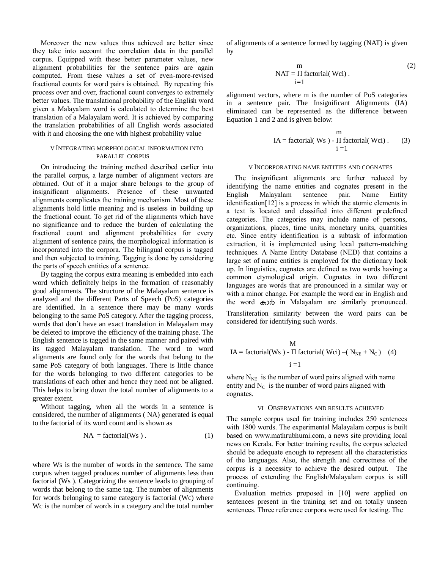Moreover the new values thus achieved are better since they take into account the correlation data in the parallel corpus. Equipped with these better parameter values, new alignment probabilities for the sentence pairs are again computed. From these values a set of even-more-revised fractional counts for word pairs is obtained. By repeating this process over and over, fractional count converges to extremely better values. The translational probability of the English word given a Malayalam word is calculated to determine the best translation of a Malayalam word. It is achieved by comparing the translation probabilities of all English words associated with it and choosing the one with highest probability value

# V INTEGRATING MORPHOLOGICAL INFORMATION INTO PARALLEL CORPUS

On introducing the training method described earlier into the parallel corpus, a large number of alignment vectors are obtained. Out of it a major share belongs to the group of insignificant alignments. Presence of these unwanted alignments complicates the training mechanism. Most of these alignments hold little meaning and is useless in building up the fractional count. To get rid of the alignments which have no significance and to reduce the burden of calculating the fractional count and alignment probabilities for every alignment of sentence pairs, the morphological information is incorporated into the corpora. The bilingual corpus is tagged and then subjected to training. Tagging is done by considering the parts of speech entities of a sentence.

By tagging the corpus extra meaning is embedded into each word which definitely helps in the formation of reasonably good alignments. The structure of the Malayalam sentence is analyzed and the different Parts of Speech (PoS) categories are identified. In a sentence there may be many words belonging to the same PoS category. After the tagging process, words that don't have an exact translation in Malayalam may be deleted to improve the efficiency of the training phase. The English sentence is tagged in the same manner and paired with its tagged Malayalam translation. The word to word alignments are found only for the words that belong to the same PoS category of both languages. There is little chance for the words belonging to two different categories to be translations of each other and hence they need not be aligned. This helps to bring down the total number of alignments to a greater extent.

Without tagging, when all the words in a sentence is considered, the number of alignments ( NA) generated is equal to the factorial of its word count and is shown as

$$
NA = factorial(Ws) . \t(1)
$$

where Ws is the number of words in the sentence. The same corpus when tagged produces number of alignments less than factorial (Ws ). Categorizing the sentence leads to grouping of words that belong to the same tag. The number of alignments for words belonging to same category is factorial (Wc) where Wc is the number of words in a category and the total number

of alignments of a sentence formed by tagging (NAT) is given by

$$
NAT = \Pi
$$
 factorial(Wei).  

$$
i=1
$$
 (2)

alignment vectors, where m is the number of PoS categories in a sentence pair. The Insignificant Alignments (IA) eliminated can be represented as the difference between Equation 1 and 2 and is given below:

$$
IA = factorial(Ws) - \prod factorial(Wci).
$$
 (3)  

$$
i = 1
$$

#### V INCORPORATING NAME ENTITIES AND COGNATES

The insignificant alignments are further reduced by identifying the name entities and cognates present in the English Malayalam sentence pair. Name Entity identification[12] is a process in which the atomic elements in a text is located and classified into different predefined categories. The categories may include name of persons, organizations, places, time units, monetary units, quantities etc. Since entity identification is a subtask of information extraction, it is implemented using local pattern-matching techniques. A Name Entity Database (NED) that contains a large set of name entities is employed for the dictionary look up. In linguistics, cognates are defined as two words having a common etymological origin. Cognates in two different languages are words that are pronounced in a similar way or with a minor change**.** For example the word car in English and the word  $\omega$ <sup>th</sup> in Malayalam are similarly pronounced.

Transliteration similarity between the word pairs can be considered for identifying such words.

$$
IA = factorial(Ws) - II factorial(Wci) - (N_{NE} + N_C) \quad (4)
$$
  
i = 1

where  $N_{NE}$  is the number of word pairs aligned with name entity and  $N_c$  is the number of word pairs aligned with cognates.

#### VI OBSERVATIONS AND RESULTS ACHIEVED

The sample corpus used for training includes 250 sentences with 1800 words. The experimental Malayalam corpus is built based on www.mathrubhumi.com, a news site providing local news on Kerala. For better training results, the corpus selected should be adequate enough to represent all the characteristics of the languages. Also, the strength and correctness of the corpus is a necessity to achieve the desired output. The process of extending the English/Malayalam corpus is still continuing.

Evaluation metrics proposed in [10] were applied on sentences present in the training set and on totally unseen sentences. Three reference corpora were used for testing. The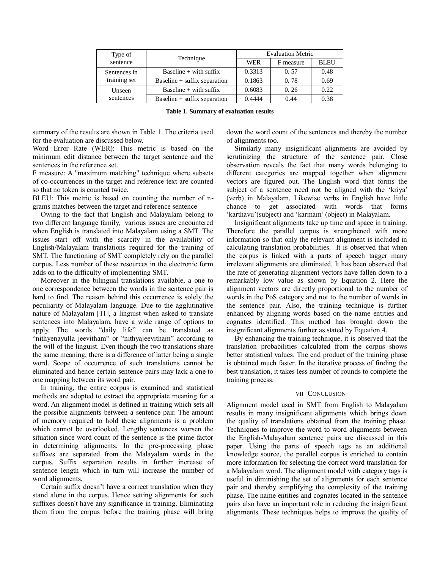| Type of<br>sentence          | Technique                      | <b>Evaluation Metric</b> |           |             |
|------------------------------|--------------------------------|--------------------------|-----------|-------------|
|                              |                                | <b>WER</b>               | F measure | <b>BLEU</b> |
| Sentences in<br>training set | Baseline $+$ with suffix       | 0.3313                   | 0.57      | 0.48        |
|                              | Baseline $+$ suffix separation | 0.1863                   | 0.78      | 0.69        |
| Unseen<br>sentences          | Baseline $+$ with suffix       | 0.6083                   | 0.26      | 0.22        |
|                              | Baseline $+$ suffix separation | 0.4444                   | 0.44      | 0.38        |

**Table 1. Summary of evaluation results**

summary of the results are shown in Table 1. The criteria used for the evaluation are discussed below.

Word Error Rate (WER): This metric is based on the minimum edit distance between the target sentence and the sentences in the reference set.

F measure: A "maximum matching" technique where subsets of co-occurrences in the target and reference text are counted so that no token is counted twice.

BLEU: This metric is based on counting the number of ngrams matches between the target and reference sentence

Owing to the fact that English and Malayalam belong to two different language family, various issues are encountered when English is translated into Malayalam using a SMT. The issues start off with the scarcity in the availability of English/Malayalam translations required for the training of SMT. The functioning of SMT completely rely on the parallel corpus. Less number of these resources in the electronic form adds on to the difficulty of implementing SMT.

Moreover in the bilingual translations available, a one to one correspondence between the words in the sentence pair is hard to find. The reason behind this occurrence is solely the peculiarity of Malayalam language. Due to the agglutinative nature of Malayalam [11], a linguist when asked to translate sentences into Malayalam, have a wide range of options to apply. The words "daily life" can be translated as "nithyenayulla jeevitham" or "nithyajeevitham" according to the will of the linguist. Even though the two translations share the same meaning, there is a difference of latter being a single word. Scope of occurrence of such translations cannot be eliminated and hence certain sentence pairs may lack a one to one mapping between its word pair.

In training, the entire corpus is examined and statistical methods are adopted to extract the appropriate meaning for a word. An alignment model is defined in training which sets all the possible alignments between a sentence pair. The amount of memory required to hold these alignments is a problem which cannot be overlooked. Lengthy sentences worsen the situation since word count of the sentence is the prime factor in determining alignments. In the pre-processing phase suffixes are separated from the Malayalam words in the corpus. Suffix separation results in further increase of sentence length which in turn will increase the number of word alignments.

Certain suffix doesn"t have a correct translation when they stand alone in the corpus. Hence setting alignments for such suffixes doesn't have any significance in training. Eliminating them from the corpus before the training phase will bring

down the word count of the sentences and thereby the number of alignments too.

Similarly many insignificant alignments are avoided by scrutinizing the structure of the sentence pair. Close observation reveals the fact that many words belonging to different categories are mapped together when alignment vectors are figured out. The English word that forms the subject of a sentence need not be aligned with the 'kriya' (verb) in Malayalam. Likewise verbs in English have little chance to get associated with words that forms "karthavu"(subject) and "karmam" (object) in Malayalam.

Insignificant alignments take up time and space in training. Therefore the parallel corpus is strengthened with more information so that only the relevant alignment is included in calculating translation probabilities. It is observed that when the corpus is linked with a parts of speech tagger many irrelevant alignments are eliminated. It has been observed that the rate of generating alignment vectors have fallen down to a remarkably low value as shown by Equation 2. Here the alignment vectors are directly proportional to the number of words in the PoS category and not to the number of words in the sentence pair. Also, the training technique is further enhanced by aligning words based on the name entities and cognates identified. This method has brought down the insignificant alignments further as stated by Equation 4.

By enhancing the training technique, it is observed that the translation probabilities calculated from the corpus shows better statistical values. The end product of the training phase is obtained much faster. In the iterative process of finding the best translation, it takes less number of rounds to complete the training process.

#### VII CONCLUSION

Alignment model used in SMT from English to Malayalam results in many insignificant alignments which brings down the quality of translations obtained from the training phase. Techniques to improve the word to word alignments between the English-Malayalam sentence pairs are discussed in this paper. Using the parts of speech tags as an additional knowledge source, the parallel corpus is enriched to contain more information for selecting the correct word translation for a Malayalam word. The alignment model with category tags is useful in diminishing the set of alignments for each sentence pair and thereby simplifying the complexity of the training phase. The name entities and cognates located in the sentence pairs also have an important role in reducing the insignificant alignments. These techniques helps to improve the quality of